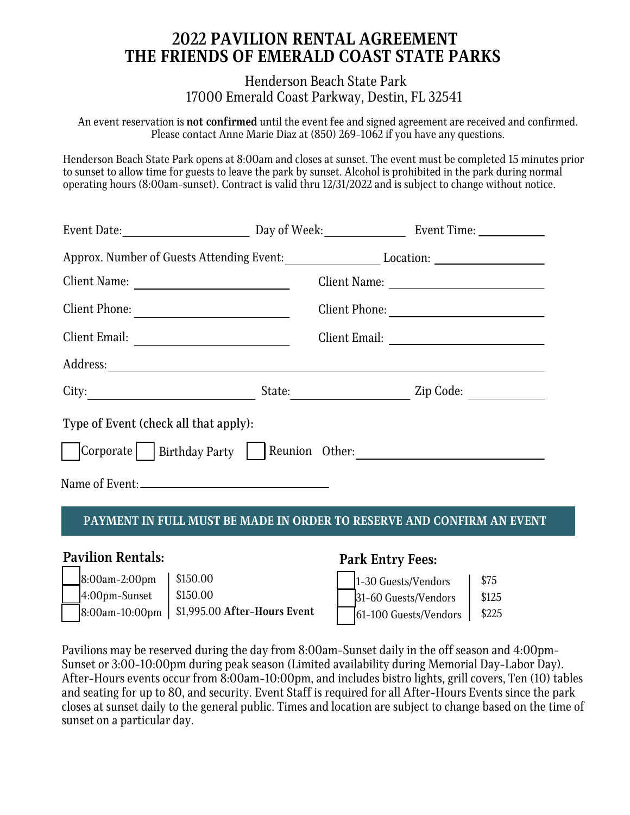# **2022 PAVILION RENTAL AGREEMENT THE FRIENDS OF EMERALD COAST STATE PARKS**

Henderson Beach State Park 17000 Emerald Coast Parkway, Destin, FL 32541

An event reservation is **not confirmed** until the event fee and signed agreement are received and confirmed. Please contact Anne Marie Diaz at (850) 269-1062 if you have any questions.

Henderson Beach State Park opens at 8:00am and closes at sunset. The event must be completed 15 minutes prior to sunset to allow time for guests to leave the park by sunset. Alcohol is prohibited in the park during normal operating hours (8:00am-sunset). Contract is valid thru 12/31/2022 and is subject to change without notice.

| Approx. Number of Guests Attending Event:   |                     |
|---------------------------------------------|---------------------|
| Client Name:                                |                     |
| Client Phone:                               |                     |
|                                             |                     |
|                                             |                     |
| City:                                       | Zip Code:<br>State: |
| Type of Event (check all that apply):       |                     |
| Corporate   Birthday Party   Reunion Other: |                     |
| Name of Event:                              |                     |

## **PAYMENT IN FULL MUST BE MADE IN ORDER TO RESERVE AND CONFIRM AN EVENT**

## **Pavilion Rentals:**

| $8:00$ am-2:00pm | $\frac{1}{2}$ \$150.00                        |
|------------------|-----------------------------------------------|
| $4:00$ pm-Sunset | $\frac{1}{2}$ \$150.00                        |
|                  | 8:00am-10:00pm   \$1,995.00 After-Hours Event |

## **Park Entry Fees:**



Pavilions may be reserved during the day from 8:00am-Sunset daily in the off season and 4:00pm-Sunset or 3:00-10:00pm during peak season (Limited availability during Memorial Day-Labor Day). After-Hours events occur from 8:00am-10:00pm, and includes bistro lights, grill covers, Ten (10) tables and seating for up to 80, and security. Event Staff is required for all After-Hours Events since the park closes at sunset daily to the general public. Times and location are subject to change based on the time of sunset on a particular day.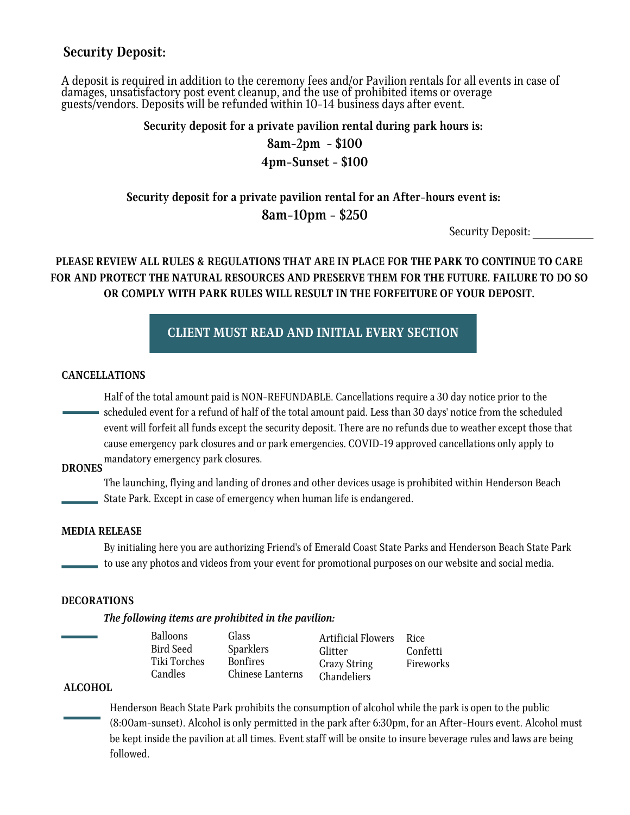## **Security Deposit:**

A deposit is required in addition to the ceremony fees and/or Pavilion rentals for all events in case of damages, unsatisfactory post event cleanup, and the use of prohibited items or overage guests/vendors. Deposits will be refunded within 10-14 business days after event.

**Security deposit for a private pavilion rental during park hours is:**

## **8am-2pm - \$100 4pm-Sunset - \$100**

# **Security deposit for a private pavilion rental for an After-hours event is: 8am-10pm - \$250**

Security Deposit:

## **PLEASE REVIEW ALL RULES & REGULATIONS THAT ARE IN PLACE FOR THE PARK TO CONTINUE TO CARE FOR AND PROTECT THE NATURAL RESOURCES AND PRESERVE THEM FOR THE FUTURE. FAILURE TO DO SO OR COMPLY WITH PARK RULES WILL RESULT IN THE FORFEITURE OF YOUR DEPOSIT.**

**CLIENT MUST READ AND INITIAL EVERY SECTION**

### **CANCELLATIONS**

Half of the total amount paid is NON-REFUNDABLE. Cancellations require a 30 day notice prior to the scheduled event for a refund of half of the total amount paid. Less than 30 days' notice from the scheduled event will forfeit all funds except the security deposit. There are no refunds due to weather except those that cause emergency park closures and or park emergencies. COVID-19 approved cancellations only apply to mandatory emergency park closures. **DRONES**

The launching, flying and landing of drones and other devices usage is prohibited within Henderson Beach State Park. Except in case of emergency when human life is endangered.

### **MEDIA RELEASE**

By initialing here you are authorizing Friend's of Emerald Coast State Parks and Henderson Beach State Park to use any photos and videos from your event for promotional purposes on our website and social media.

### **DECORATIONS**

*The following items are prohibited in the pavilion:*

| Balloons         | Glass            | <b>Artificial Flowers</b> | Rice      |
|------------------|------------------|---------------------------|-----------|
| <b>Bird Seed</b> | <b>Sparklers</b> | Glitter                   | Confetti  |
| Tiki Torches     | <b>Bonfires</b>  | <b>Crazy String</b>       | Fireworks |
| Candles          | Chinese Lanterns | Chandeliers               |           |
|                  |                  |                           |           |

### **ALCOHOL**

Henderson Beach State Park prohibits the consumption of alcohol while the park is open to the public (8:00am-sunset). Alcohol is only permitted in the park after 6:30pm, for an After-Hours event. Alcohol must be kept inside the pavilion at all times. Event staff will be onsite to insure beverage rules and laws are being followed.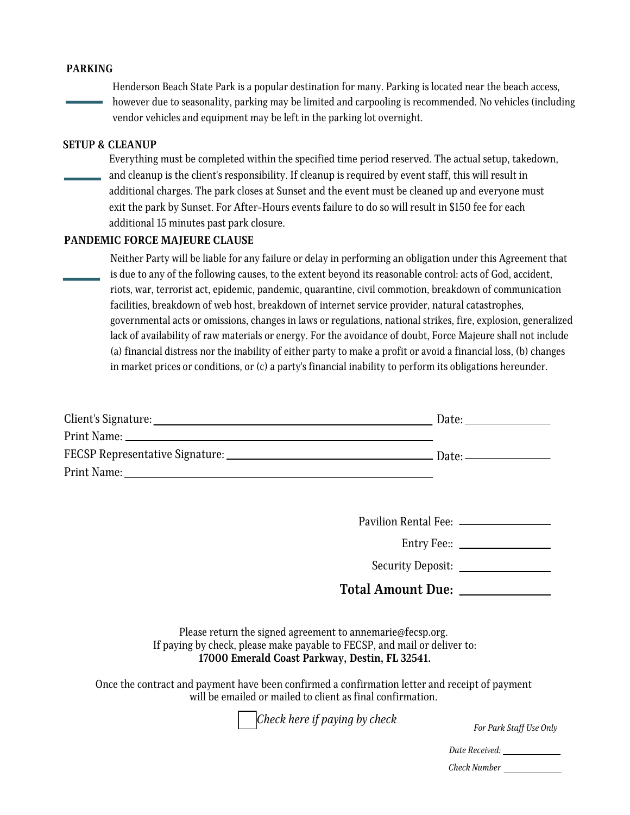### **PARKING**

Henderson Beach State Park is a popular destination for many. Parking is located near the beach access, however due to seasonality, parking may be limited and carpooling is recommended. No vehicles (including vendor vehicles and equipment may be left in the parking lot overnight.

### **SETUP & CLEANUP**

Everything must be completed within the specified time period reserved. The actual setup, takedown, and cleanup is the client's responsibility. If cleanup is required by event staff, this will result in additional charges. The park closes at Sunset and the event must be cleaned up and everyone must exit the park by Sunset. For After-Hours events failure to do so will result in \$150 fee for each additional 15 minutes past park closure.

### **PANDEMIC FORCE MAJEURE CLAUSE**

Neither Party will be liable for any failure or delay in performing an obligation under this Agreement that is due to any of the following causes, to the extent beyond its reasonable control: acts of God, accident, riots, war, terrorist act, epidemic, pandemic, quarantine, civil commotion, breakdown of communication facilities, breakdown of web host, breakdown of internet service provider, natural catastrophes, governmental acts or omissions, changes in laws or regulations, national strikes, fire, explosion, generalized lack of availability of raw materials or energy. For the avoidance of doubt, Force Majeure shall not include (a) financial distress nor the inability of either party to make a profit or avoid a financial loss, (b) changes in market prices or conditions, or (c) a party's financial inability to perform its obligations hereunder.

|                                                                                                                                                                                           | Pavilion Rental Fee: _________________ |  |  |  |
|-------------------------------------------------------------------------------------------------------------------------------------------------------------------------------------------|----------------------------------------|--|--|--|
| Entry Fee:: ___________________                                                                                                                                                           |                                        |  |  |  |
|                                                                                                                                                                                           | Security Deposit:                      |  |  |  |
|                                                                                                                                                                                           | Total Amount Due: _____________        |  |  |  |
| Please return the signed agreement to annemarie@fecsp.org.<br>If paying by check, please make payable to FECSP, and mail or deliver to:<br>17000 Emerald Coast Parkway, Destin, FL 32541. |                                        |  |  |  |
| Once the contract and payment have been confirmed a confirmation letter and receipt of payment<br>will be emailed or mailed to client as final confirmation.                              |                                        |  |  |  |
| Check here if paying by check                                                                                                                                                             | For Park Staff Use Only                |  |  |  |
|                                                                                                                                                                                           |                                        |  |  |  |
|                                                                                                                                                                                           | Check Number                           |  |  |  |